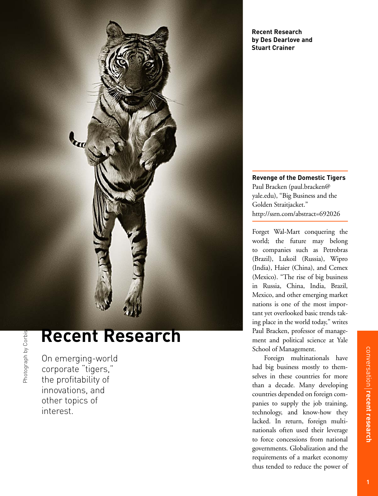

# **Recent Research**

On emerging-world corporate "tigers," the profitability of innovations, and other topics of interest.

Photograph by Corbis Photograph by Corbis

**Recent Research by Des Dearlove and Stuart Crainer**

**Revenge of the Domestic Tigers** Paul Bracken (paul.bracken@ yale.edu), "Big Business and the Golden Straitjacket." http://ssrn.com/abstract=692026

Forget Wal-Mart conquering the world; the future may belong to companies such as Petrobras (Brazil), Lukoil (Russia), Wipro (India), Haier (China), and Cemex (Mexico). "The rise of big business in Russia, China, India, Brazil, Mexico, and other emerging market nations is one of the most important yet overlooked basic trends taking place in the world today," writes Paul Bracken, professor of management and political science at Yale School of Management.

Foreign multinationals have had big business mostly to themselves in these countries for more than a decade. Many developing countries depended on foreign companies to supply the job training, technology, and know-how they lacked. In return, foreign multinationals often used their leverage to force concessions from national governments. Globalization and the requirements of a market economy thus tended to reduce the power of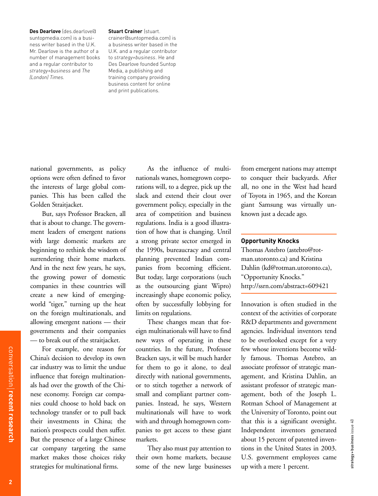**Des Dearlove** (des.dearlove@ suntopmedia.com) is a business writer based in the U.K. Mr. Dearlove is the author of a number of management books and a regular contributor to *strategy+business* and *The (London) Times.*

#### **Stuart Crainer** (stuart.

crainer@suntopmedia.com) is a business writer based in the U.K. and a regular contributor to *strategy+business*. He and Des Dearlove founded Suntop Media, a publishing and training company providing business content for online and print publications.

national governments, as policy options were often defined to favor the interests of large global companies. This has been called the Golden Straitjacket.

But, says Professor Bracken, all that is about to change. The government leaders of emergent nations with large domestic markets are beginning to rethink the wisdom of surrendering their home markets. And in the next few years, he says, the growing power of domestic companies in these countries will create a new kind of emergingworld "tiger," turning up the heat on the foreign multinationals, and allowing emergent nations — their governments and their companies — to break out of the straitjacket.

For example, one reason for China's decision to develop its own car industry was to limit the undue influence that foreign multinationals had over the growth of the Chinese economy. Foreign car companies could choose to hold back on technology transfer or to pull back their investments in China; the nation's prospects could then suffer. But the presence of a large Chinese car company targeting the same market makes those choices risky strategies for multinational firms.

As the influence of multinationals wanes, homegrown corporations will, to a degree, pick up the slack and extend their clout over government policy, especially in the area of competition and business regulations. India is a good illustration of how that is changing. Until a strong private sector emerged in the 1990s, bureaucracy and central planning prevented Indian companies from becoming efficient. But today, large corporations (such as the outsourcing giant Wipro) increasingly shape economic policy, often by successfully lobbying for limits on regulations.

These changes mean that foreign multinationals will have to find new ways of operating in these countries. In the future, Professor Bracken says, it will be much harder for them to go it alone, to deal directly with national governments, or to stitch together a network of small and compliant partner companies. Instead, he says, Western multinationals will have to work with and through homegrown companies to get access to these giant markets.

They also must pay attention to their own home markets, because some of the new large businesses

from emergent nations may attempt to conquer their backyards. After all, no one in the West had heard of Toyota in 1965, and the Korean giant Samsung was virtually unknown just a decade ago.

### **Opportunity Knocks**

Thomas Astebro (astebro@rotman.utoronto.ca) and Kristina Dahlin (kd@rotman.utoronto.ca), "Opportunity Knocks." http://ssrn.com/abstract=609421

Innovation is often studied in the context of the activities of corporate R&D departments and government agencies. Individual inventors tend to be overlooked except for a very few whose inventions become wildly famous. Thomas Astebro, an associate professor of strategic management, and Kristina Dahlin, an assistant professor of strategic management, both of the Joseph L. Rotman School of Management at the University of Toronto, point out that this is a significant oversight. Independent inventors generated about 15 percent of patented inventions in the United States in 2003. U.S. government employees came up with a mere 1 percent.

strategy + business issue 40

strategy+business issue 40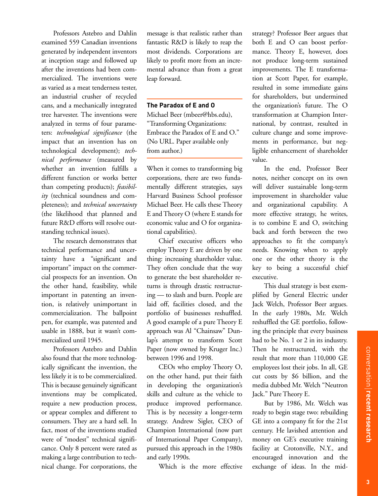Professors Astebro and Dahlin examined 559 Canadian inventions generated by independent inventors at inception stage and followed up after the inventions had been commercialized. The inventions were as varied as a meat tenderness tester, an industrial crusher of recycled cans, and a mechanically integrated tree harvester. The inventions were analyzed in terms of four parameters: *technological significance* (the impact that an invention has on technological development); *technical performance* (measured by whether an invention fulfills a different function or works better than competing products); *feasibility* (technical soundness and completeness); and *technical uncertainty* (the likelihood that planned and future R&D efforts will resolve outstanding technical issues).

The research demonstrates that technical performance and uncertainty have a "significant and important" impact on the commercial prospects for an invention. On the other hand, feasibility, while important in patenting an invention, is relatively unimportant in commercialization. The ballpoint pen, for example, was patented and usable in 1888, but it wasn't commercialized until 1945.

Professors Astebro and Dahlin also found that the more technologically significant the invention, the less likely it is to be commercialized. This is because genuinely significant inventions may be complicated, require a new production process, or appear complex and different to consumers. They are a hard sell. In fact, most of the inventions studied were of "modest" technical significance. Only 8 percent were rated as making a large contribution to technical change. For corporations, the

message is that realistic rather than fantastic R&D is likely to reap the most dividends. Corporations are likely to profit more from an incremental advance than from a great leap forward.

#### **The Paradox of E and O**

Michael Beer (mbeer@hbs.edu), "Transforming Organizations: Embrace the Paradox of E and O." (No URL. Paper available only from author.)

When it comes to transforming big corporations, there are two fundamentally different strategies, says Harvard Business School professor Michael Beer. He calls these Theory E and Theory O (where E stands for economic value and O for organizational capabilities).

Chief executive officers who employ Theory E are driven by one thing: increasing shareholder value. They often conclude that the way to generate the best shareholder returns is through drastic restructuring — to slash and burn. People are laid off, facilities closed, and the portfolio of businesses reshuffled. A good example of a pure Theory E approach was Al "Chainsaw" Dunlap's attempt to transform Scott Paper (now owned by Kruger Inc.) between 1996 and 1998.

CEOs who employ Theory O, on the other hand, put their faith in developing the organization's skills and culture as the vehicle to produce improved performance. This is by necessity a longer-term strategy. Andrew Sigler, CEO of Champion International (now part of International Paper Company), pursued this approach in the 1980s and early 1990s.

Which is the more effective

strategy? Professor Beer argues that both E and O can boost performance. Theory E, however, does not produce long-term sustained improvements. The E transformation at Scott Paper, for example, resulted in some immediate gains for shareholders, but undermined the organization's future. The O transformation at Champion International, by contrast, resulted in culture change and some improvements in performance, but negligible enhancement of shareholder value.

In the end, Professor Beer notes, neither concept on its own will deliver sustainable long-term improvement in shareholder value and organizational capability. A more effective strategy, he writes, is to combine E and O, switching back and forth between the two approaches to fit the company's needs. Knowing when to apply one or the other theory is the key to being a successful chief executive.

This dual strategy is best exemplified by General Electric under Jack Welch, Professor Beer argues. In the early 1980s, Mr. Welch reshuffled the GE portfolio, following the principle that every business had to be No. 1 or 2 in its industry. Then he restructured, with the result that more than 110,000 GE employees lost their jobs. In all, GE cut costs by \$6 billion, and the media dubbed Mr. Welch "Neutron Jack." Pure Theory E.

But by 1986, Mr. Welch was ready to begin stage two: rebuilding GE into a company fit for the 21st century. He lavished attention and money on GE's executive training facility at Crotonville, N.Y., and encouraged innovation and the exchange of ideas. In the mid-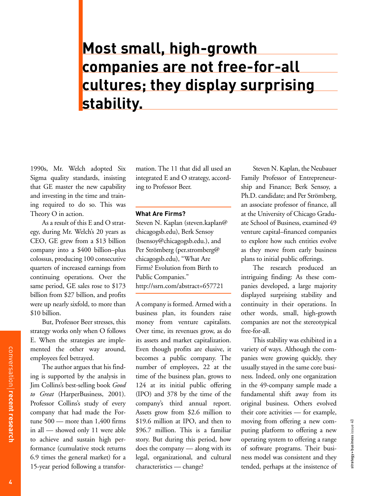## **Most small, high-growth companies are not free-for-all cultures; they display surprising stability.**

1990s, Mr. Welch adopted Six Sigma quality standards, insisting that GE master the new capability and investing in the time and training required to do so. This was Theory O in action.

As a result of this E and O strategy, during Mr. Welch's 20 years as CEO, GE grew from a \$13 billion company into a \$400 billion–plus colossus, producing 100 consecutive quarters of increased earnings from continuing operations. Over the same period, GE sales rose to \$173 billion from \$27 billion, and profits were up nearly sixfold, to more than \$10 billion.

But, Professor Beer stresses, this strategy works only when O follows E. When the strategies are implemented the other way around, employees feel betrayed.

The author argues that his finding is supported by the analysis in Jim Collins's best-selling book *Good to Great* (HarperBusiness, 2001). Professor Collins's study of every company that had made the Fortune 500 — more than 1,400 firms in all — showed only 11 were able to achieve and sustain high performance (cumulative stock returns 6.9 times the general market) for a 15-year period following a transfor-

mation. The 11 that did all used an integrated E and O strategy, according to Professor Beer.

#### **What Are Firms?**

Steven N. Kaplan (steven.kaplan@ chicagogsb.edu), Berk Sensoy (bsensoy@chicagogsb.edu.), and Per Strömberg (per.stromberg@ chicagogsb.edu), "What Are Firms? Evolution from Birth to Public Companies." http://ssrn.com/abstract=657721

A company is formed. Armed with a business plan, its founders raise money from venture capitalists. Over time, its revenues grow, as do its assets and market capitalization. Even though profits are elusive, it becomes a public company. The number of employees, 22 at the time of the business plan, grows to 124 at its initial public offering (IPO) and 378 by the time of the company's third annual report. Assets grow from \$2.6 million to \$19.6 million at IPO, and then to \$96.7 million. This is a familiar story. But during this period, how does the company — along with its legal, organizational, and cultural characteristics — change?

Steven N. Kaplan, the Neubauer Family Professor of Entrepreneurship and Finance; Berk Sensoy, a Ph.D. candidate; and Per Strömberg, an associate professor of finance, all at the University of Chicago Graduate School of Business, examined 49 venture capital–financed companies to explore how such entities evolve as they move from early business plans to initial public offerings.

The research produced an intriguing finding: As these companies developed, a large majority displayed surprising stability and continuity in their operations. In other words, small, high-growth companies are not the stereotypical free-for-all.

This stability was exhibited in a variety of ways. Although the companies were growing quickly, they usually stayed in the same core business. Indeed, only one organization in the 49-company sample made a fundamental shift away from its original business. Others evolved their core activities — for example, moving from offering a new computing platform to offering a new operating system to offering a range of software programs. Their business model was consistent and they tended, perhaps at the insistence of

strategy + business issue 40

strategy+business issue 40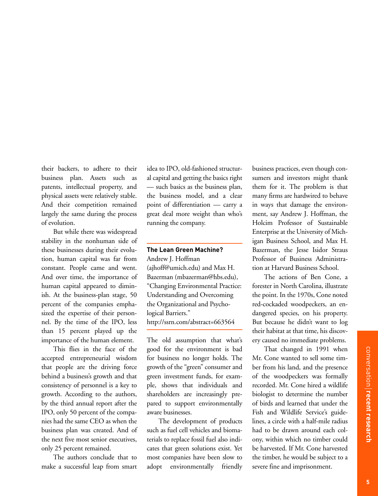their backers, to adhere to their business plan. Assets such as patents, intellectual property, and physical assets were relatively stable. And their competition remained largely the same during the process of evolution.

But while there was widespread stability in the nonhuman side of these businesses during their evolution, human capital was far from constant. People came and went. And over time, the importance of human capital appeared to diminish. At the business-plan stage, 50 percent of the companies emphasized the expertise of their personnel. By the time of the IPO, less than 15 percent played up the importance of the human element.

This flies in the face of the accepted entrepreneurial wisdom that people are the driving force behind a business's growth and that consistency of personnel is a key to growth. According to the authors, by the third annual report after the IPO, only 50 percent of the companies had the same CEO as when the business plan was created. And of the next five most senior executives, only 25 percent remained.

The authors conclude that to make a successful leap from smart idea to IPO, old-fashioned structural capital and getting the basics right — such basics as the business plan, the business model, and a clear point of differentiation — carry a great deal more weight than who's running the company.

#### **The Lean Green Machine?**

Andrew J. Hoffman (ajhoff@umich.edu) and Max H. Bazerman (mbazerman@hbs.edu), "Changing Environmental Practice: Understanding and Overcoming the Organizational and Psychological Barriers." http://ssrn.com/abstract=663564

The old assumption that what's good for the environment is bad for business no longer holds. The growth of the "green" consumer and green investment funds, for example, shows that individuals and shareholders are increasingly prepared to support environmentally aware businesses.

The development of products such as fuel cell vehicles and biomaterials to replace fossil fuel also indicates that green solutions exist. Yet most companies have been slow to adopt environmentally friendly business practices, even though consumers and investors might thank them for it. The problem is that many firms are hardwired to behave in ways that damage the environment, say Andrew J. Hoffman, the Holcim Professor of Sustainable Enterprise at the University of Michigan Business School, and Max H. Bazerman, the Jesse Isidor Straus Professor of Business Administration at Harvard Business School.

The actions of Ben Cone, a forester in North Carolina, illustrate the point. In the 1970s, Cone noted red-cockaded woodpeckers, an endangered species, on his property. But because he didn't want to log their habitat at that time, his discovery caused no immediate problems.

That changed in 1991 when Mr. Cone wanted to sell some timber from his land, and the presence of the woodpeckers was formally recorded. Mr. Cone hired a wildlife biologist to determine the number of birds and learned that under the Fish and Wildlife Service's guidelines, a circle with a half-mile radius had to be drawn around each colony, within which no timber could be harvested. If Mr. Cone harvested the timber, he would be subject to a severe fine and imprisonment.